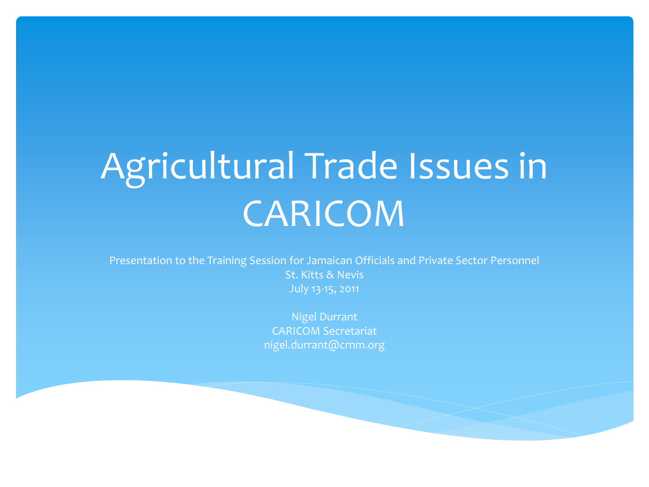# Agricultural Trade Issues in CARICOM

Presentation to the Training Session for Jamaican Officials and Private Sector Personnel St. Kitts & Nevis July 13-15, 2011

> Nigel Durrant CARICOM Secretariat nigel.durrant@crnm.org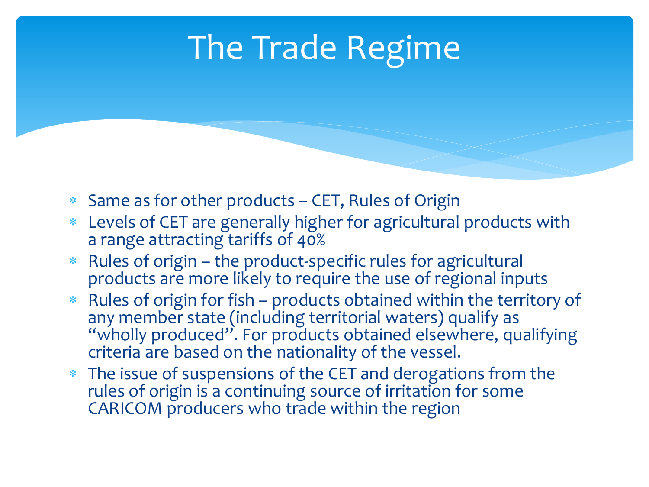### The Trade Regime

- Same as for other products CET, Rules of Origin
- Levels of CET are generally higher for agricultural products with a range attracting tariffs of 40%
- Rules of origin the product-specific rules for agricultural products are more likely to require the use of regional inputs
- Rules of origin for fish products obtained within the territory of any member state (including territorial waters) qualify as "wholly produced". For products obtained elsewhere, qualifying criteria are based on the nationality of the vessel.
- The issue of suspensions of the CET and derogations from the rules of origin is a continuing source of irritation for some CARICOM producers who trade within the region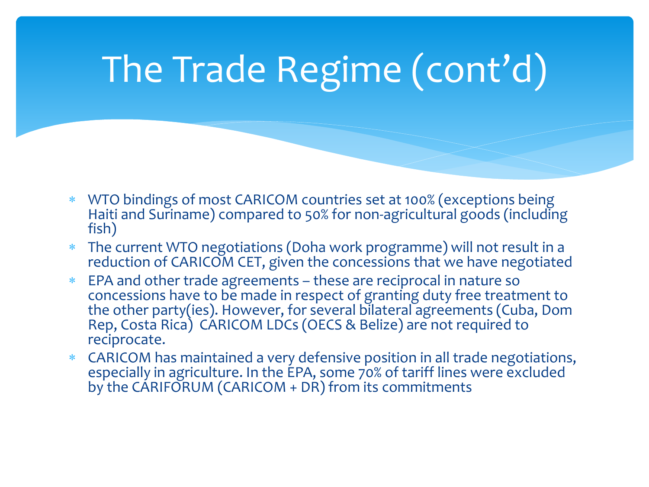# The Trade Regime (cont'd)

- WTO bindings of most CARICOM countries set at 100% (exceptions being Haiti and Suriname) compared to 50% for non-agricultural goods (including fish)
- The current WTO negotiations (Doha work programme) will not result in a reduction of CARICOM CET, given the concessions that we have negotiated
- EPA and other trade agreements these are reciprocal in nature so concessions have to be made in respect of granting duty free treatment to the other party(ies). However, for several bilateral agreements (Cuba, Dom Rep, Costa Rica) CARICOM LDCs (OECS & Belize) are not required to reciprocate.
- CARICOM has maintained a very defensive position in all trade negotiations, especially in agriculture. In the EPA, some 70% of tariff lines were excluded by the CARIFORUM (CARICOM + DR) from its commitments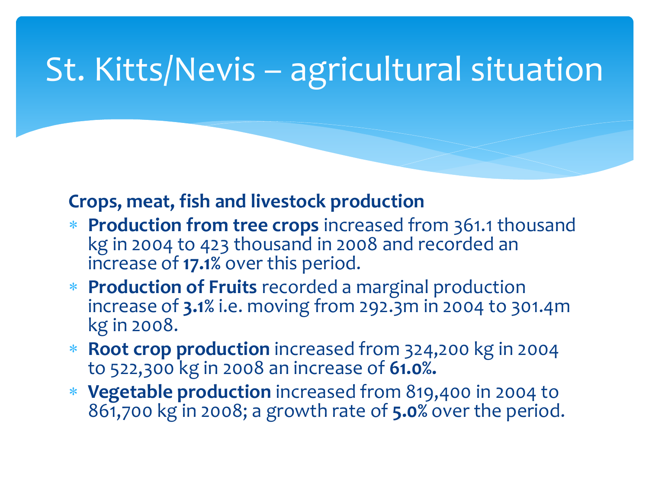### St. Kitts/Nevis – agricultural situation

#### **Crops, meat, fish and livestock production**

- **Production from tree crops** increased from 361.1 thousand kg in 2004 to 423 thousand in 2008 and recorded an increase of **17.1%** over this period.
- **Production of Fruits** recorded a marginal production increase of **3.1%** i.e. moving from 292.3m in 2004 to 301.4m kg in 2008.
- **Root crop production** increased from 324,200 kg in 2004 to 522,300 kg in 2008 an increase of **61.0%.**
- **Vegetable production** increased from 819,400 in 2004 to 861,700 kg in 2008; a growth rate of **5.0%** over the period.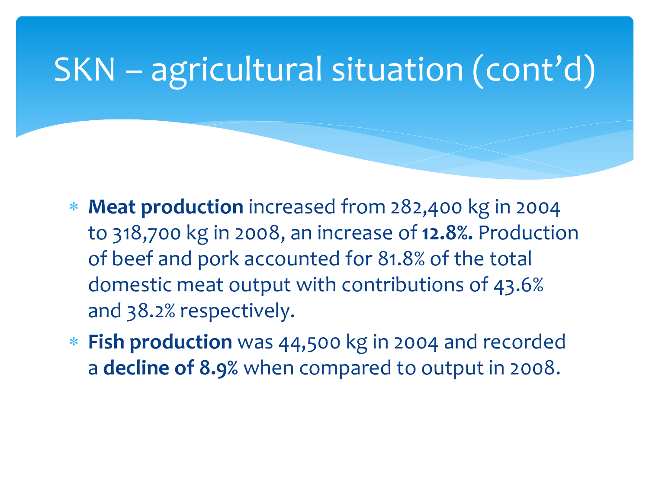- **Meat production** increased from 282,400 kg in 2004 to 318,700 kg in 2008, an increase of **12.8%.** Production of beef and pork accounted for 81.8% of the total domestic meat output with contributions of 43.6% and 38.2% respectively.
- **Fish production** was 44,500 kg in 2004 and recorded a **decline of 8.9%** when compared to output in 2008.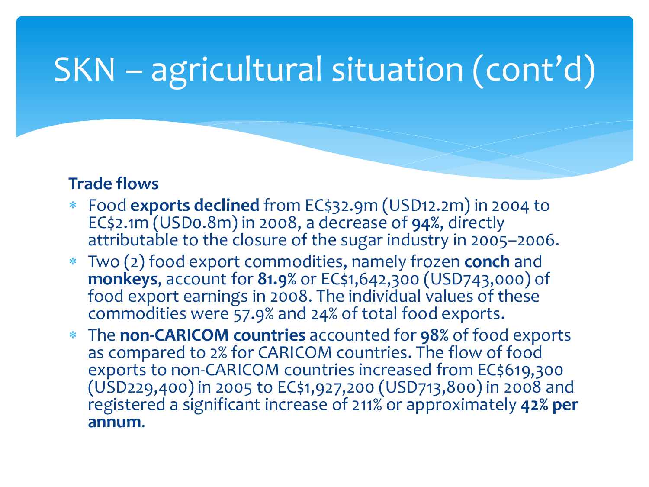#### **Trade flows**

- Food **exports declined** from EC\$32.9m (USD12.2m) in 2004 to EC\$2.1m (USD0.8m) in 2008, a decrease of **94%**, directly attributable to the closure of the sugar industry in 2005–2006.
- Two (2) food export commodities, namely frozen **conch** and **monkeys**, account for **81.9%** or EC\$1,642,300 (USD743,000) of food export earnings in 2008. The individual values of these commodities were 57.9% and 24% of total food exports.
- The **non-CARICOM countries** accounted for **98%** of food exports as compared to 2% for CARICOM countries. The flow of food exports to non-CARICOM countries increased from EC\$619,300 (USD229,400) in 2005 to EC\$1,927,200 (USD713,800) in 2008 and registered a significant increase of 211% or approximately **42% per annum**.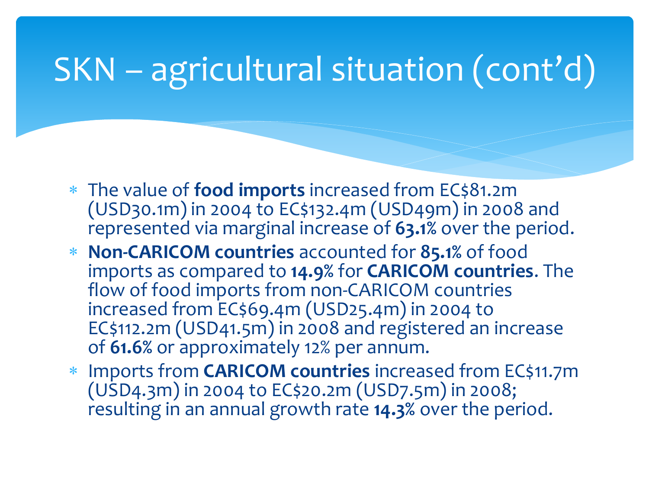- The value of **food imports** increased from EC\$81.2m (USD30.1m) in 2004 to EC\$132.4m (USD49m) in 2008 and represented via marginal increase of **63.1%** over the period.
- **Non-CARICOM countries** accounted for **85.1%** of food imports as compared to **14.9%** for **CARICOM countries**. The flow of food imports from non-CARICOM countries increased from EC\$69.4m (USD25.4m) in 2004 to EC\$112.2m (USD41.5m) in 2008 and registered an increase of **61.6%** or approximately 12% per annum.
- Imports from **CARICOM countries** increased from EC\$11.7m (USD4.3m) in 2004 to EC\$20.2m (USD7.5m) in 2008; resulting in an annual growth rate **14.3%** over the period.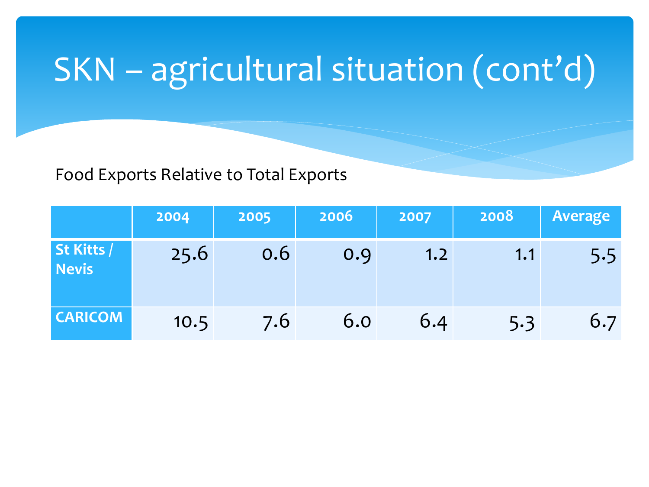#### Food Exports Relative to Total Exports

|                     | 2004 | 2005 | 2006 | 2007 | 2008 | <b>Average</b> |
|---------------------|------|------|------|------|------|----------------|
| St Kitts /<br>Nevis | 25.6 | 0.6  | 0.9  | 1.2  | 1.1  | 5.5            |
| <b>CARICOM</b>      | 10.5 | 7.6  | 6.0  | 6.4  | 5.3  | 6.7            |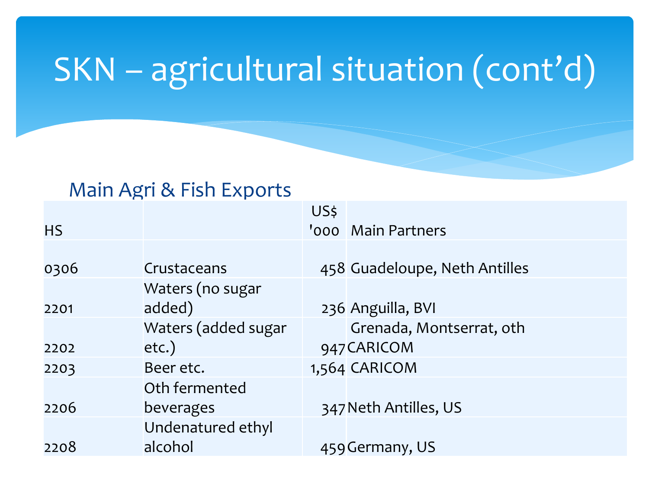#### Main Agri & Fish Exports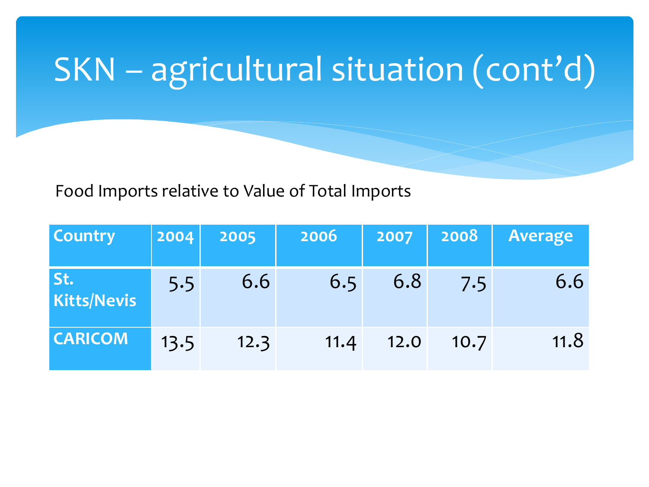Food Imports relative to Value of Total Imports

| <b>Country</b>     | 2004 | 2005 | 2006 | 2007 | 2008 | Average |
|--------------------|------|------|------|------|------|---------|
| St.<br>Kitts/Nevis | 5.5  | 6.6  | 6.5  | 6.8  | 7.5  | 6.6     |
| <b>CARICOM</b>     | 13.5 | 12.3 | 11.4 | 12.0 | 10.7 | 11.8    |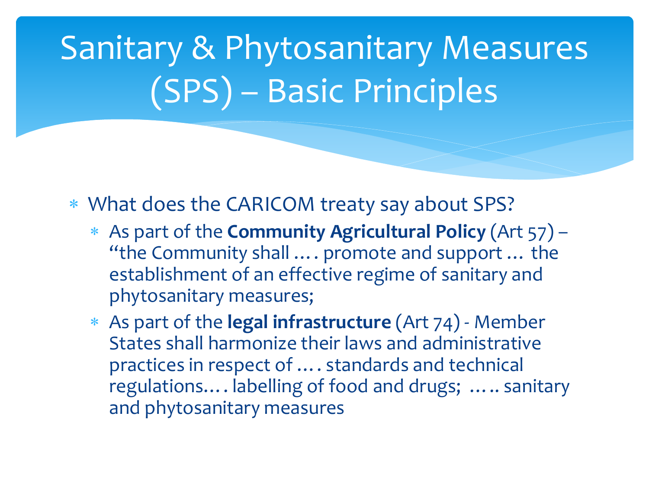## Sanitary & Phytosanitary Measures (SPS) – Basic Principles

- What does the CARICOM treaty say about SPS?
	- As part of the **Community Agricultural Policy** (Art 57) "the Community shall …. promote and support … the establishment of an effective regime of sanitary and phytosanitary measures;
	- As part of the **legal infrastructure** (Art 74) Member States shall harmonize their laws and administrative practices in respect of …. standards and technical regulations…. labelling of food and drugs; ….. sanitary and phytosanitary measures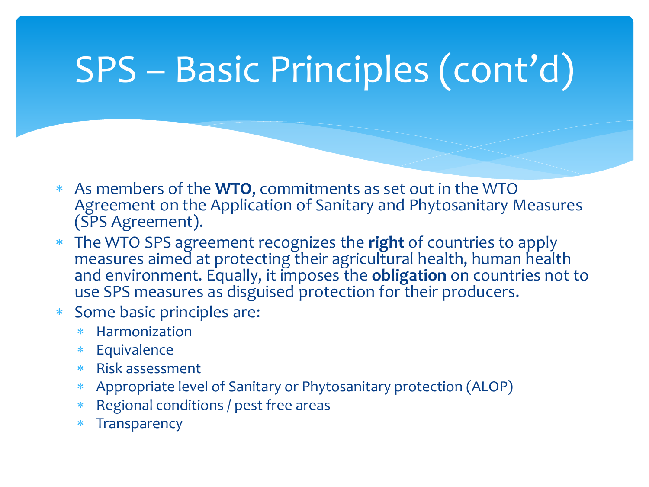# SPS – Basic Principles (cont'd)

- As members of the **WTO**, commitments as set out in the WTO Agreement on the Application of Sanitary and Phytosanitary Measures (SPS Agreement).
- The WTO SPS agreement recognizes the **right** of countries to apply measures aimed at protecting their agricultural health, human health and environment. Equally, it imposes the **obligation** on countries not to use SPS measures as disguised protection for their producers.
- Some basic principles are:
	- Harmonization
	- Equivalence
	- Risk assessment
	- Appropriate level of Sanitary or Phytosanitary protection (ALOP)
	- Regional conditions / pest free areas
	- \* Transparency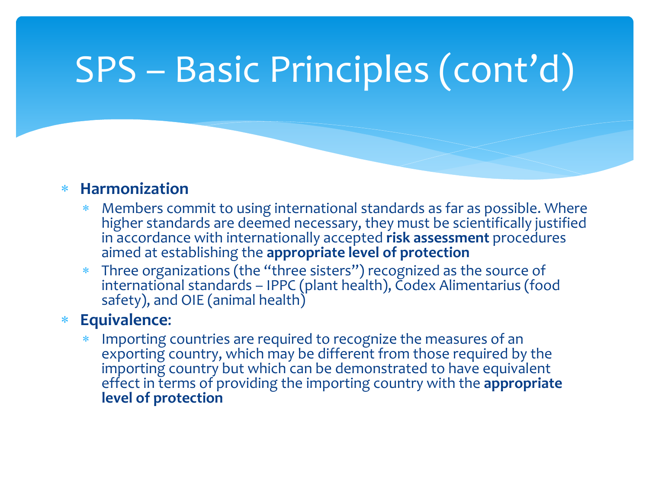## SPS – Basic Principles (cont'd)

#### **Harmonization**

- Members commit to using international standards as far as possible. Where higher standards are deemed necessary, they must be scientifically justified in accordance with internationally accepted **risk assessment** procedures aimed at establishing the **appropriate level of protection**
- Three organizations (the "three sisters") recognized as the source of international standards – IPPC (plant health), Codex Alimentarius (food safety), and OIE (animal health)

#### **Equivalence**:

 Importing countries are required to recognize the measures of an exporting country, which may be different from those required by the importing country but which can be demonstrated to have equivalent effect in terms of providing the importing country with the **appropriate level of protection**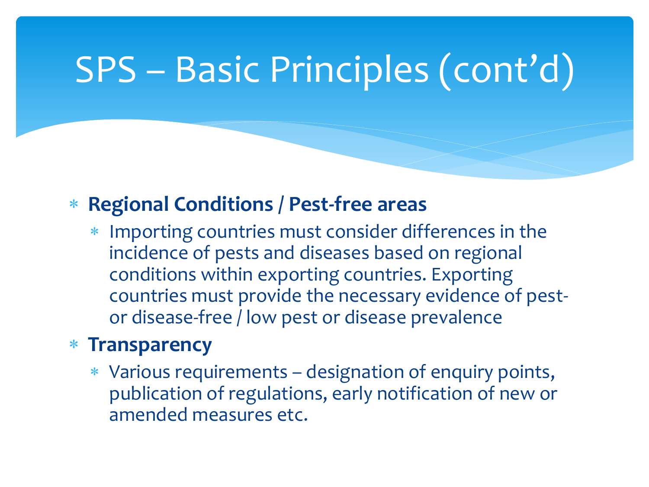## SPS – Basic Principles (cont'd)

#### **Regional Conditions / Pest-free areas**

 Importing countries must consider differences in the incidence of pests and diseases based on regional conditions within exporting countries. Exporting countries must provide the necessary evidence of pestor disease-free / low pest or disease prevalence

#### **Transparency**

 Various requirements – designation of enquiry points, publication of regulations, early notification of new or amended measures etc.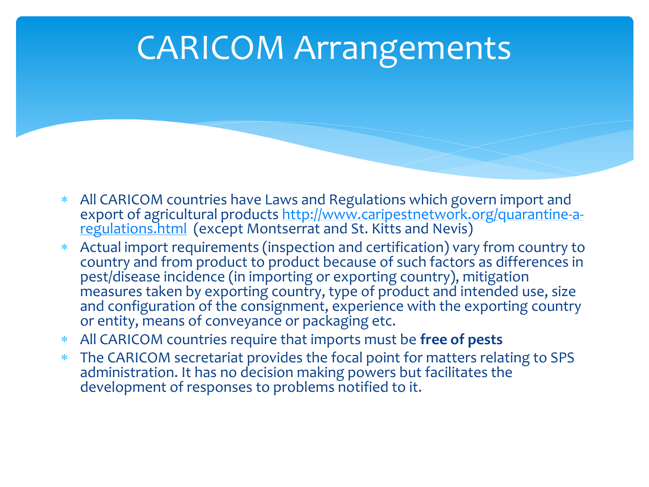#### CARICOM Arrangements

- All CARICOM countries have Laws and Regulations which govern import and [export of agricultural products http://www.caripestnetwork.org/quarantine-a](http://www.caripestnetwork.org/quarantine-a-regulations.html)regulations.html (except Montserrat and St. Kitts and Nevis)
- Actual import requirements (inspection and certification) vary from country to country and from product to product because of such factors as differences in pest/disease incidence (in importing or exporting country), mitigation measures taken by exporting country, type of product and intended use, size and configuration of the consignment, experience with the exporting country or entity, means of conveyance or packaging etc.
- All CARICOM countries require that imports must be **free of pests**
- The CARICOM secretariat provides the focal point for matters relating to SPS administration. It has no decision making powers but facilitates the development of responses to problems notified to it.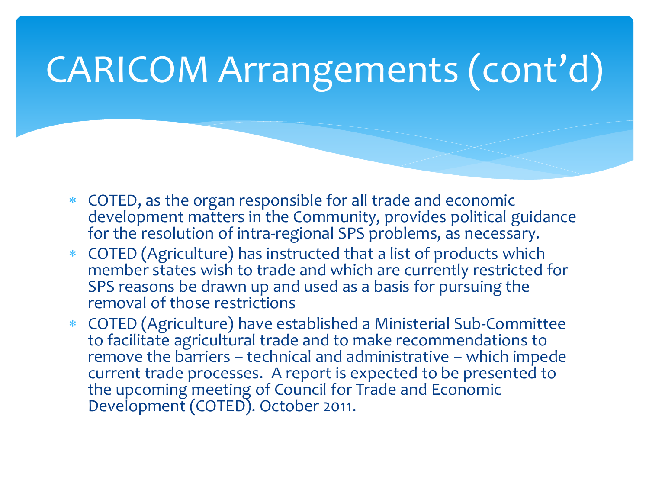- COTED, as the organ responsible for all trade and economic development matters in the Community, provides political guidance for the resolution of intra-regional SPS problems, as necessary.
- COTED (Agriculture) has instructed that a list of products which member states wish to trade and which are currently restricted for SPS reasons be drawn up and used as a basis for pursuing the removal of those restrictions
- COTED (Agriculture) have established a Ministerial Sub-Committee to facilitate agricultural trade and to make recommendations to remove the barriers – technical and administrative – which impede current trade processes. A report is expected to be presented to the upcoming meeting of Council for Trade and Economic Development (COTED). October 2011.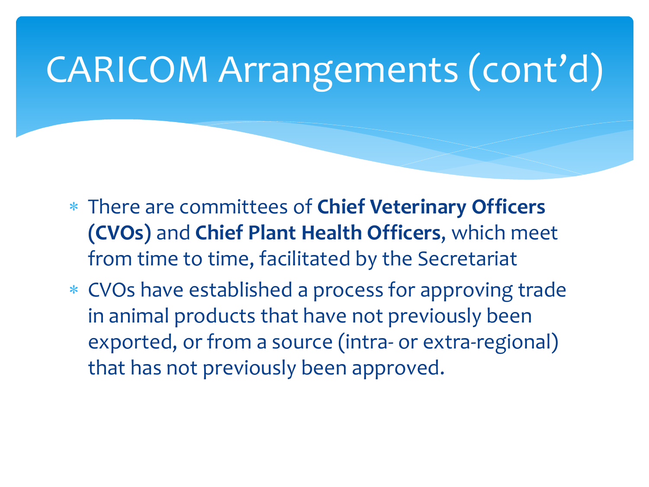- There are committees of **Chief Veterinary Officers (CVOs)** and **Chief Plant Health Officers**, which meet from time to time, facilitated by the Secretariat
- CVOs have established a process for approving trade in animal products that have not previously been exported, or from a source (intra- or extra-regional) that has not previously been approved.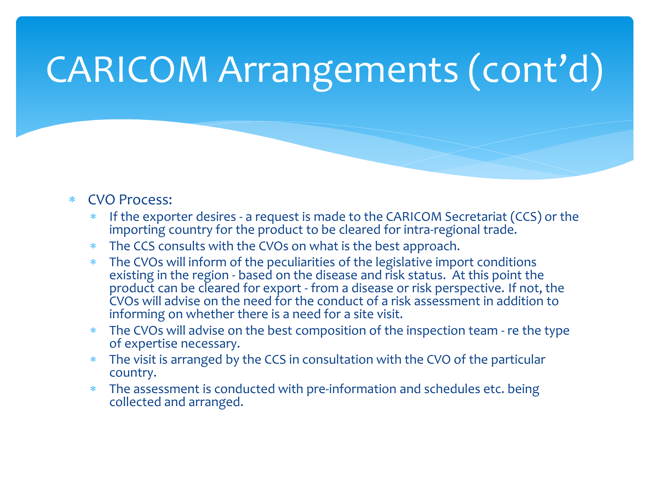#### CVO Process:

- If the exporter desires a request is made to the CARICOM Secretariat (CCS) or the importing country for the product to be cleared for intra-regional trade.
- The CCS consults with the CVOs on what is the best approach.
- The CVOs will inform of the peculiarities of the legislative import conditions existing in the region - based on the disease and risk status. At this point the product can be cleared for export - from a disease or risk perspective. If not, the CVOs will advise on the need for the conduct of a risk assessment in addition to informing on whether there is a need for a site visit.
- The CVOs will advise on the best composition of the inspection team re the type of expertise necessary.
- The visit is arranged by the CCS in consultation with the CVO of the particular country.
- The assessment is conducted with pre-information and schedules etc. being collected and arranged.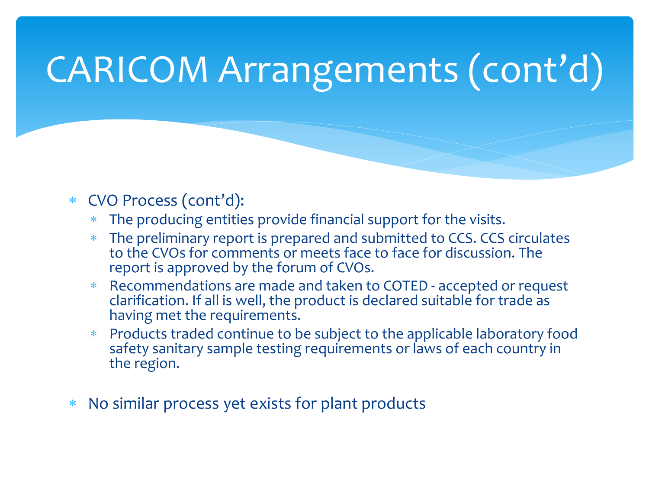- CVO Process (cont'd):
	- The producing entities provide financial support for the visits.
	- The preliminary report is prepared and submitted to CCS. CCS circulates to the CVOs for comments or meets face to face for discussion. The report is approved by the forum of CVOs.
	- Recommendations are made and taken to COTED accepted or request clarification. If all is well, the product is declared suitable for trade as having met the requirements.
	- Products traded continue to be subject to the applicable laboratory food safety sanitary sample testing requirements or laws of each country in the region.
- No similar process yet exists for plant products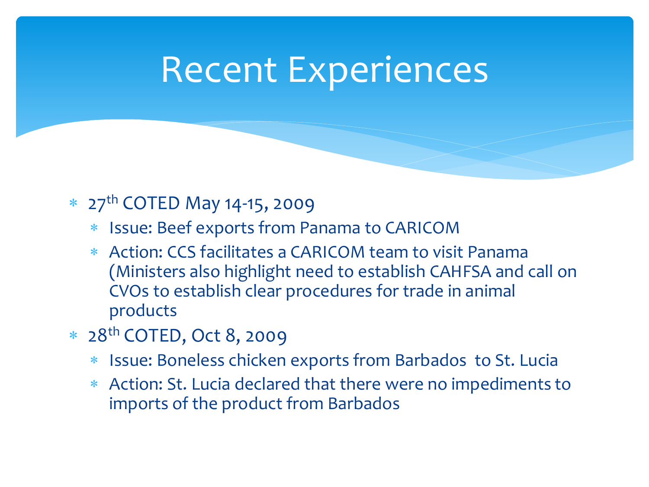### Recent Experiences

#### \* 27<sup>th</sup> COTED May 14-15, 2009

- Issue: Beef exports from Panama to CARICOM
- Action: CCS facilitates a CARICOM team to visit Panama (Ministers also highlight need to establish CAHFSA and call on CVOs to establish clear procedures for trade in animal products
- 28th COTED, Oct 8, 2009
	- Issue: Boneless chicken exports from Barbados to St. Lucia
	- Action: St. Lucia declared that there were no impediments to imports of the product from Barbados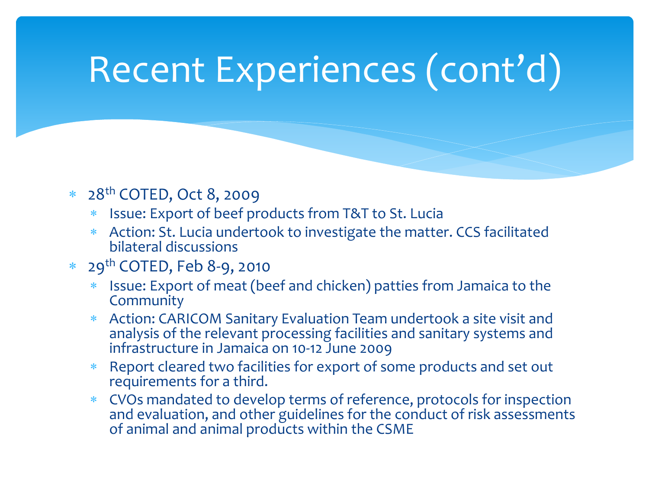## Recent Experiences (cont'd)

#### 28th COTED, Oct 8, 2009

- Issue: Export of beef products from T&T to St. Lucia
- Action: St. Lucia undertook to investigate the matter. CCS facilitated bilateral discussions

#### 29th COTED, Feb 8-9, 2010

- Issue: Export of meat (beef and chicken) patties from Jamaica to the **Community**
- Action: CARICOM Sanitary Evaluation Team undertook a site visit and analysis of the relevant processing facilities and sanitary systems and infrastructure in Jamaica on 10-12 June 2009
- Report cleared two facilities for export of some products and set out requirements for a third.
- CVOs mandated to develop terms of reference, protocols for inspection and evaluation, and other guidelines for the conduct of risk assessments of animal and animal products within the CSME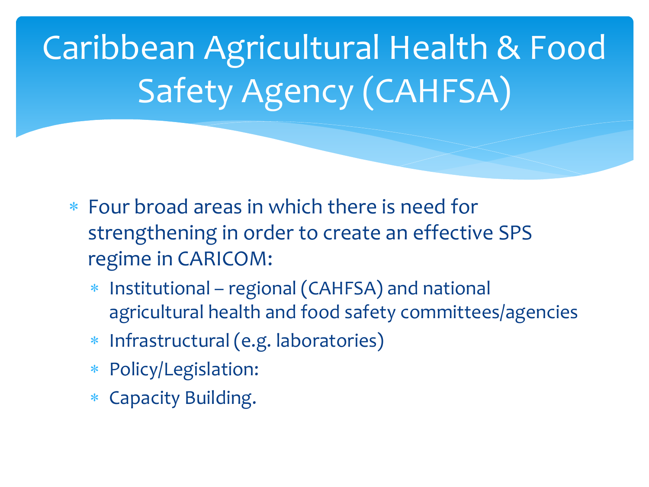Caribbean Agricultural Health & Food Safety Agency (CAHFSA)

- Four broad areas in which there is need for strengthening in order to create an effective SPS regime in CARICOM:
	- Institutional regional (CAHFSA) and national agricultural health and food safety committees/agencies
	- Infrastructural (e.g. laboratories)
	- Policy/Legislation:
	- Capacity Building.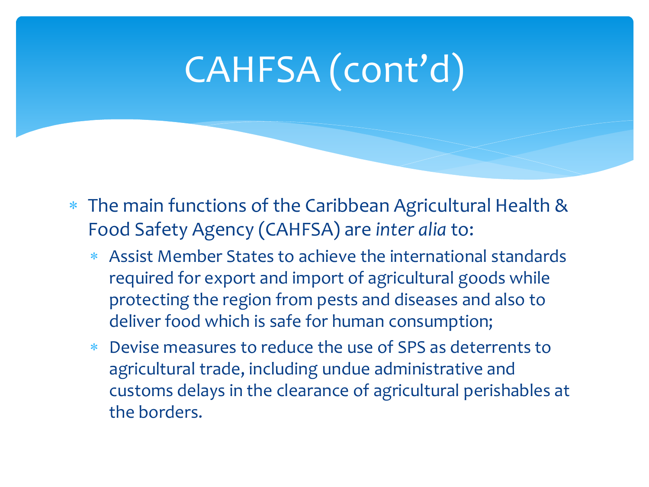# CAHFSA (cont'd)

- The main functions of the Caribbean Agricultural Health & Food Safety Agency (CAHFSA) are *inter alia* to:
	- Assist Member States to achieve the international standards required for export and import of agricultural goods while protecting the region from pests and diseases and also to deliver food which is safe for human consumption;
	- Devise measures to reduce the use of SPS as deterrents to agricultural trade, including undue administrative and customs delays in the clearance of agricultural perishables at the borders.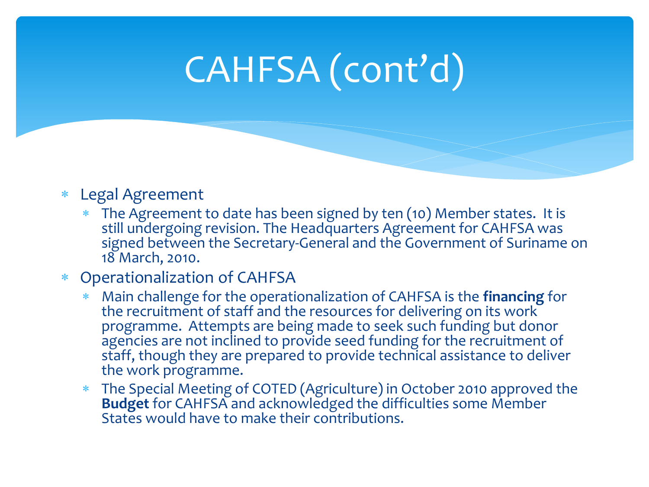# CAHFSA (cont'd)

#### Legal Agreement

 The Agreement to date has been signed by ten (10) Member states. It is still undergoing revision. The Headquarters Agreement for CAHFSA was signed between the Secretary-General and the Government of Suriname on 18 March, 2010.

#### Operationalization of CAHFSA

- Main challenge for the operationalization of CAHFSA is the **financing** for the recruitment of staff and the resources for delivering on its work programme. Attempts are being made to seek such funding but donor agencies are not inclined to provide seed funding for the recruitment of staff, though they are prepared to provide technical assistance to deliver the work programme.
- The Special Meeting of COTED (Agriculture) in October 2010 approved the **Budget** for CAHFSA and acknowledged the difficulties some Member States would have to make their contributions.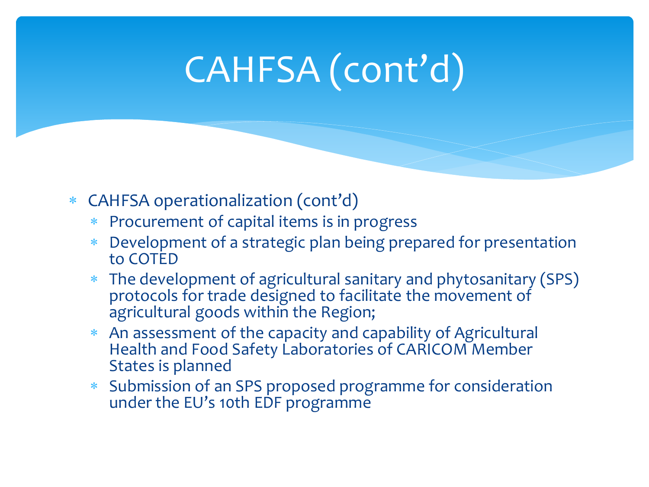# CAHFSA (cont'd)

- CAHFSA operationalization (cont'd)
	- Procurement of capital items is in progress
	- Development of a strategic plan being prepared for presentation to COTED
	- The development of agricultural sanitary and phytosanitary (SPS) protocols for trade designed to facilitate the movement of agricultural goods within the Region;
	- An assessment of the capacity and capability of Agricultural Health and Food Safety Laboratories of CARICOM Member States is planned
	- Submission of an SPS proposed programme for consideration under the EU's 10th EDF programme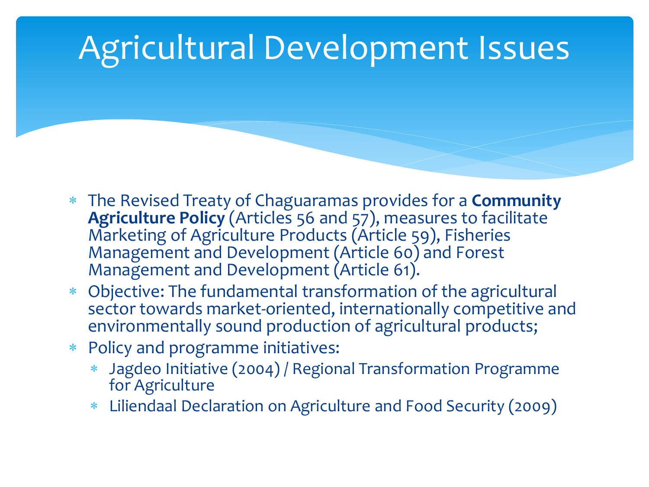### Agricultural Development Issues

- The Revised Treaty of Chaguaramas provides for a **Community Agriculture Policy** (Articles 56 and 57), measures to facilitate Marketing of Agriculture Products (Article 59), Fisheries Management and Development (Article 60) and Forest Management and Development (Article 61).
- Objective: The fundamental transformation of the agricultural sector towards market-oriented, internationally competitive and environmentally sound production of agricultural products;
- Policy and programme initiatives:
	- Jagdeo Initiative (2004) / Regional Transformation Programme for Agriculture
	- Liliendaal Declaration on Agriculture and Food Security (2009)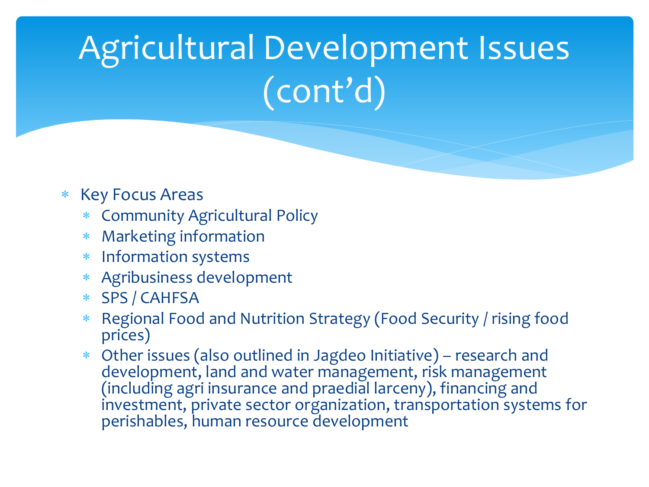# Agricultural Development Issues (cont'd)

#### \* Key Focus Areas

- Community Agricultural Policy
- Marketing information
- Information systems
- Agribusiness development
- SPS / CAHFSA
- Regional Food and Nutrition Strategy (Food Security / rising food prices)
- Other issues (also outlined in Jagdeo Initiative) research and development, land and water management, risk management (including agri insurance and praedial larceny), financing and investment, private sector organization, transportation systems for perishables, human resource development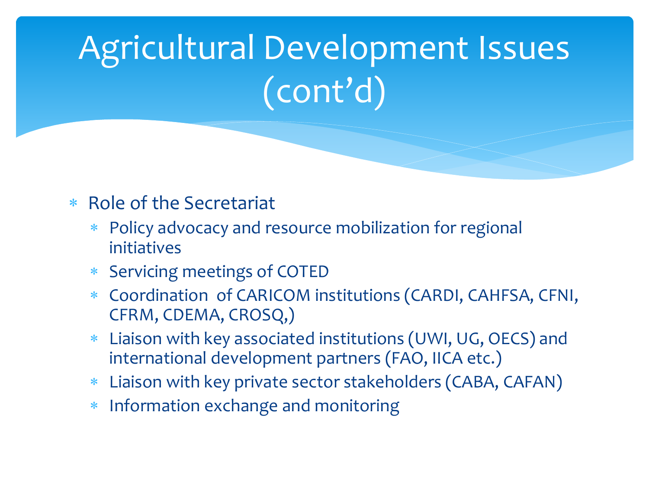# Agricultural Development Issues (cont'd)

#### Role of the Secretariat

- Policy advocacy and resource mobilization for regional initiatives
- Servicing meetings of COTED
- Coordination of CARICOM institutions (CARDI, CAHFSA, CFNI, CFRM, CDEMA, CROSQ,)
- Liaison with key associated institutions (UWI, UG, OECS) and international development partners (FAO, IICA etc.)
- Liaison with key private sector stakeholders (CABA, CAFAN)
- Information exchange and monitoring